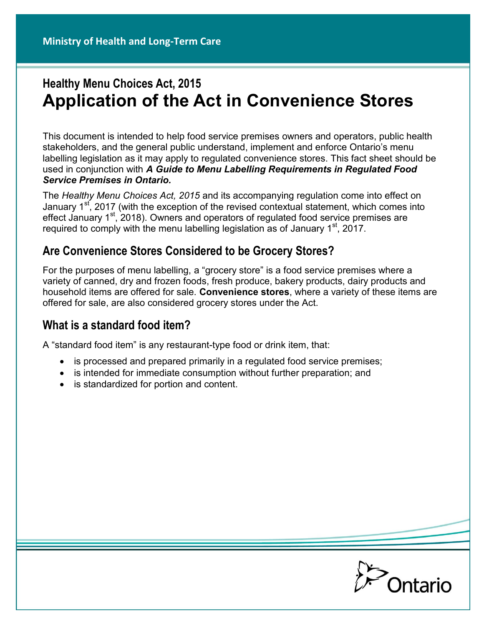# **Healthy Menu Choices Act, 2015 Application of the Act in Convenience Stores**

This document is intended to help food service premises owners and operators, public health stakeholders, and the general public understand, implement and enforce Ontario's menu labelling legislation as it may apply to regulated convenience stores. This fact sheet should be used in conjunction with *A Guide to Menu Labelling Requirements in Regulated Food Service Premises in Ontario.*

The *Healthy Menu Choices Act, 2015* and its accompanying regulation come into effect on January 1<sup>st</sup>, 2017 (with the exception of the revised contextual statement, which comes into effect January  $1<sup>st</sup>$ , 2018). Owners and operators of regulated food service premises are required to comply with the menu labelling legislation as of January  $1<sup>st</sup>$ , 2017.

### **Are Convenience Stores Considered to be Grocery Stores?**

For the purposes of menu labelling, a "grocery store" is a food service premises where a variety of canned, dry and frozen foods, fresh produce, bakery products, dairy products and household items are offered for sale. **Convenience stores**, where a variety of these items are offered for sale, are also considered grocery stores under the Act.

### **What is a standard food item?**

A "standard food item" is any restaurant-type food or drink item, that:

- is processed and prepared primarily in a regulated food service premises;
- is intended for immediate consumption without further preparation; and
- is standardized for portion and content.

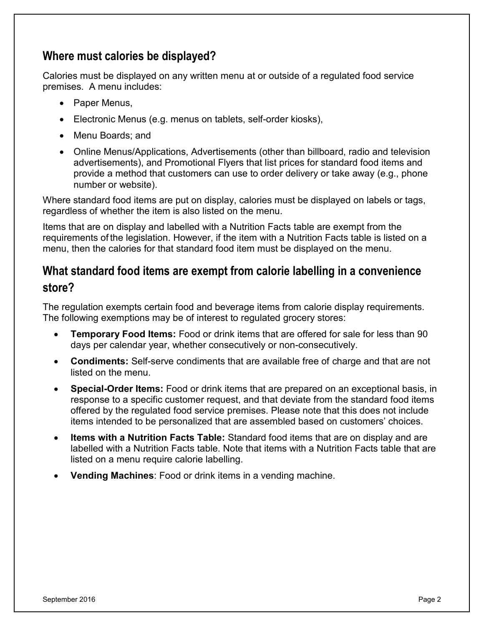### **Where must calories be displayed?**

Calories must be displayed on any written menu at or outside of a regulated food service premises. A menu includes:

- Paper Menus,
- Electronic Menus (e.g. menus on tablets, self-order kiosks),
- Menu Boards; and
- Online Menus/Applications, Advertisements (other than billboard, radio and television advertisements), and Promotional Flyers that list prices for standard food items and provide a method that customers can use to order delivery or take away (e.g., phone number or website).

Where standard food items are put on display, calories must be displayed on labels or tags, regardless of whether the item is also listed on the menu.

Items that are on display and labelled with a Nutrition Facts table are exempt from the requirements of the legislation. However, if the item with a Nutrition Facts table is listed on a menu, then the calories for that standard food item must be displayed on the menu.

## **What standard food items are exempt from calorie labelling in a convenience store?**

The regulation exempts certain food and beverage items from calorie display requirements. The following exemptions may be of interest to regulated grocery stores:

- **Temporary Food Items:** Food or drink items that are offered for sale for less than 90 days per calendar year, whether consecutively or non-consecutively.
- **Condiments:** Self-serve condiments that are available free of charge and that are not listed on the menu.
- **Special-Order Items:** Food or drink items that are prepared on an exceptional basis, in response to a specific customer request, and that deviate from the standard food items offered by the regulated food service premises. Please note that this does not include items intended to be personalized that are assembled based on customers' choices.
- **Items with a Nutrition Facts Table:** Standard food items that are on display and are labelled with a Nutrition Facts table. Note that items with a Nutrition Facts table that are listed on a menu require calorie labelling.
- **Vending Machines**: Food or drink items in a vending machine.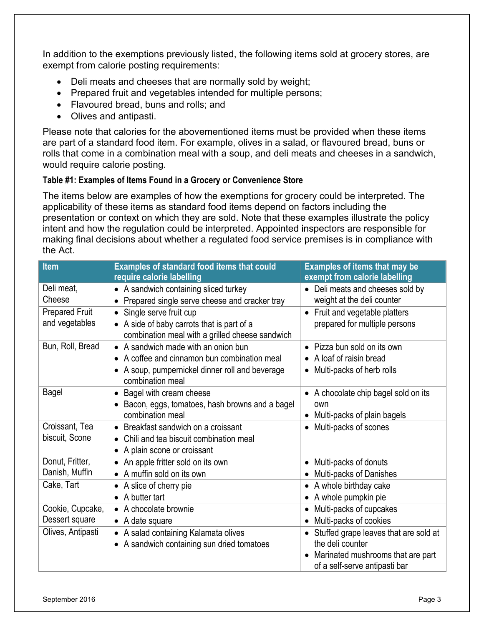In addition to the exemptions previously listed, the following items sold at grocery stores, are exempt from calorie posting requirements:

- Deli meats and cheeses that are normally sold by weight;
- Prepared fruit and vegetables intended for multiple persons;
- Flavoured bread, buns and rolls; and
- Olives and antipasti.

Please note that calories for the abovementioned items must be provided when these items are part of a standard food item. For example, olives in a salad, or flavoured bread, buns or rolls that come in a combination meal with a soup, and deli meats and cheeses in a sandwich, would require calorie posting.

#### **Table #1: Examples of Items Found in a Grocery or Convenience Store**

The items below are examples of how the exemptions for grocery could be interpreted. The applicability of these items as standard food items depend on factors including the presentation or context on which they are sold. Note that these examples illustrate the policy intent and how the regulation could be interpreted. Appointed inspectors are responsible for making final decisions about whether a regulated food service premises is in compliance with the Act.

| <b>Item</b>           | <b>Examples of standard food items that could</b><br>require calorie labelling              | <b>Examples of items that may be</b><br>exempt from calorie labelling |
|-----------------------|---------------------------------------------------------------------------------------------|-----------------------------------------------------------------------|
| Deli meat,            | • A sandwich containing sliced turkey                                                       | • Deli meats and cheeses sold by                                      |
| Cheese                | Prepared single serve cheese and cracker tray<br>$\bullet$                                  | weight at the deli counter                                            |
| <b>Prepared Fruit</b> | Single serve fruit cup<br>$\bullet$                                                         | • Fruit and vegetable platters                                        |
| and vegetables        | A side of baby carrots that is part of a<br>combination meal with a grilled cheese sandwich | prepared for multiple persons                                         |
| Bun, Roll, Bread      | • A sandwich made with an onion bun                                                         | • Pizza bun sold on its own                                           |
|                       | A coffee and cinnamon bun combination meal<br>$\bullet$                                     | • A loaf of raisin bread                                              |
|                       | A soup, pumpernickel dinner roll and beverage<br>$\bullet$<br>combination meal              | Multi-packs of herb rolls<br>$\bullet$                                |
| Bagel                 | Bagel with cream cheese<br>$\bullet$                                                        | • A chocolate chip bagel sold on its                                  |
|                       | Bacon, eggs, tomatoes, hash browns and a bagel                                              | own                                                                   |
|                       | combination meal                                                                            | • Multi-packs of plain bagels                                         |
| Croissant, Tea        | Breakfast sandwich on a croissant<br>$\bullet$                                              | Multi-packs of scones                                                 |
| biscuit, Scone        | Chili and tea biscuit combination meal<br>$\bullet$                                         |                                                                       |
|                       | A plain scone or croissant<br>$\bullet$                                                     |                                                                       |
| Donut, Fritter,       | An apple fritter sold on its own<br>$\bullet$                                               | Multi-packs of donuts<br>$\bullet$                                    |
| Danish, Muffin        | • A muffin sold on its own                                                                  | • Multi-packs of Danishes                                             |
| Cake, Tart            | A slice of cherry pie<br>٠                                                                  | A whole birthday cake<br>$\bullet$                                    |
|                       | $\bullet$ A butter tart                                                                     | • A whole pumpkin pie                                                 |
| Cookie, Cupcake,      | • A chocolate brownie                                                                       | Multi-packs of cupcakes<br>$\bullet$                                  |
| Dessert square        | • A date square                                                                             | Multi-packs of cookies                                                |
| Olives, Antipasti     | • A salad containing Kalamata olives                                                        | Stuffed grape leaves that are sold at                                 |
|                       | A sandwich containing sun dried tomatoes<br>٠                                               | the deli counter                                                      |
|                       |                                                                                             | Marinated mushrooms that are part                                     |
|                       |                                                                                             | of a self-serve antipasti bar                                         |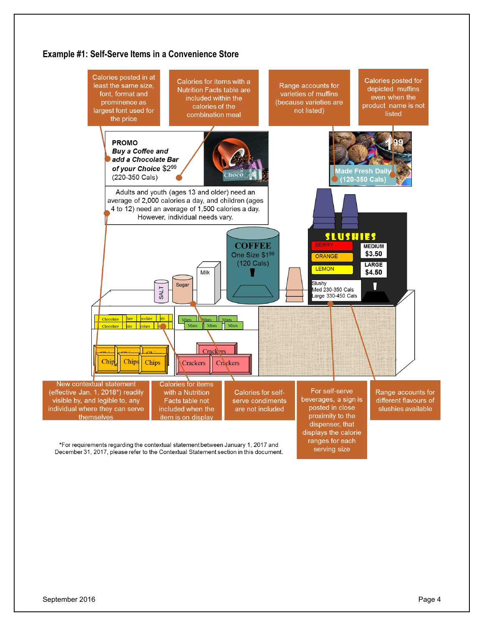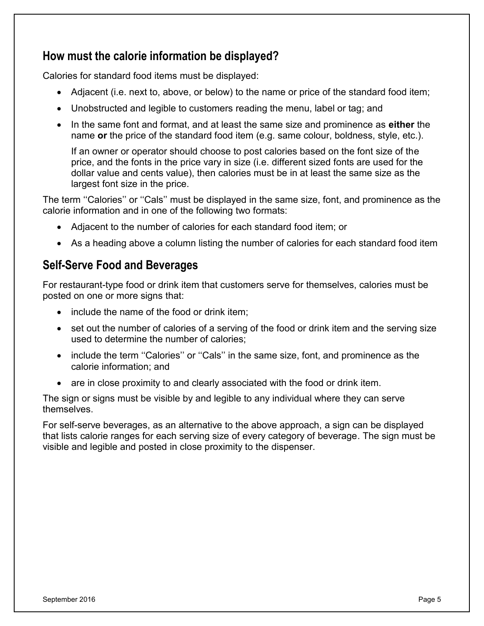### **How must the calorie information be displayed?**

Calories for standard food items must be displayed:

- Adjacent (i.e. next to, above, or below) to the name or price of the standard food item;
- Unobstructed and legible to customers reading the menu, label or tag; and
- In the same font and format, and at least the same size and prominence as **either** the name **or** the price of the standard food item (e.g. same colour, boldness, style, etc.).

If an owner or operator should choose to post calories based on the font size of the price, and the fonts in the price vary in size (i.e. different sized fonts are used for the dollar value and cents value), then calories must be in at least the same size as the largest font size in the price.

The term "Calories" or "Cals" must be displayed in the same size, font, and prominence as the calorie information and in one of the following two formats:

- Adjacent to the number of calories for each standard food item; or
- As a heading above a column listing the number of calories for each standard food item

### **Self-Serve Food and Beverages**

For restaurant-type food or drink item that customers serve for themselves, calories must be posted on one or more signs that:

- include the name of the food or drink item;
- set out the number of calories of a serving of the food or drink item and the serving size used to determine the number of calories;
- include the term "Calories" or "Cals" in the same size, font, and prominence as the calorie information; and
- are in close proximity to and clearly associated with the food or drink item.

The sign or signs must be visible by and legible to any individual where they can serve themselves.

For self-serve beverages, as an alternative to the above approach, a sign can be displayed that lists calorie ranges for each serving size of every category of beverage. The sign must be visible and legible and posted in close proximity to the dispenser.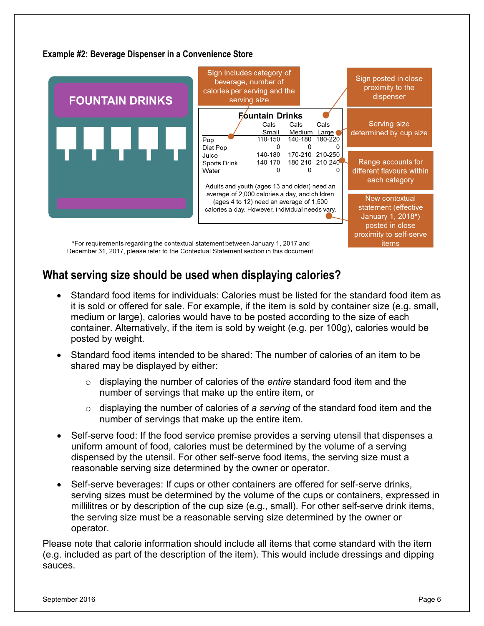#### **Example #2: Beverage Dispenser in a Convenience Store**



### **What serving size should be used when displaying calories?**

- Standard food items for individuals: Calories must be listed for the standard food item as it is sold or offered for sale. For example, if the item is sold by container size (e.g. small, medium or large), calories would have to be posted according to the size of each container. Alternatively, if the item is sold by weight (e.g. per 100g), calories would be posted by weight.
- Standard food items intended to be shared: The number of calories of an item to be shared may be displayed by either:
	- o displaying the number of calories of the *entire* standard food item and the number of servings that make up the entire item, or
	- o displaying the number of calories of *a serving* of the standard food item and the number of servings that make up the entire item.
- Self-serve food: If the food service premise provides a serving utensil that dispenses a uniform amount of food, calories must be determined by the volume of a serving dispensed by the utensil. For other self-serve food items, the serving size must a reasonable serving size determined by the owner or operator.
- Self-serve beverages: If cups or other containers are offered for self-serve drinks, serving sizes must be determined by the volume of the cups or containers, expressed in millilitres or by description of the cup size (e.g., small). For other self-serve drink items, the serving size must be a reasonable serving size determined by the owner or operator.

Please note that calorie information should include all items that come standard with the item (e.g. included as part of the description of the item). This would include dressings and dipping sauces.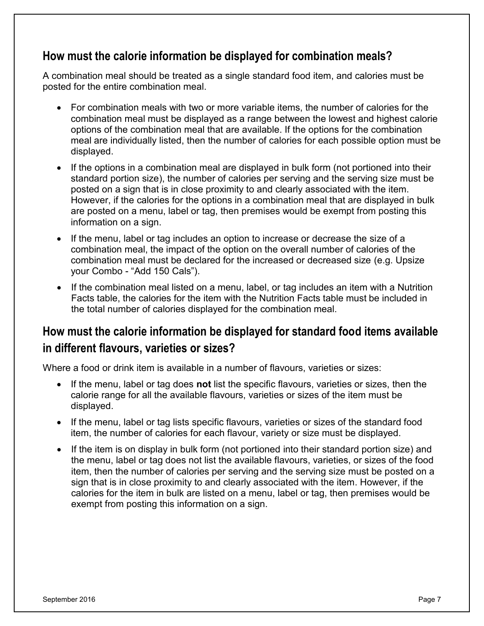### **How must the calorie information be displayed for combination meals?**

A combination meal should be treated as a single standard food item, and calories must be posted for the entire combination meal.

- For combination meals with two or more variable items, the number of calories for the combination meal must be displayed as a range between the lowest and highest calorie options of the combination meal that are available. If the options for the combination meal are individually listed, then the number of calories for each possible option must be displayed.
- If the options in a combination meal are displayed in bulk form (not portioned into their standard portion size), the number of calories per serving and the serving size must be posted on a sign that is in close proximity to and clearly associated with the item. However, if the calories for the options in a combination meal that are displayed in bulk are posted on a menu, label or tag, then premises would be exempt from posting this information on a sign.
- If the menu, label or tag includes an option to increase or decrease the size of a combination meal, the impact of the option on the overall number of calories of the combination meal must be declared for the increased or decreased size (e.g. Upsize your Combo - "Add 150 Cals").
- If the combination meal listed on a menu, label, or tag includes an item with a Nutrition Facts table, the calories for the item with the Nutrition Facts table must be included in the total number of calories displayed for the combination meal.

# **How must the calorie information be displayed for standard food items available in different flavours, varieties or sizes?**

Where a food or drink item is available in a number of flavours, varieties or sizes:

- If the menu, label or tag does **not** list the specific flavours, varieties or sizes, then the calorie range for all the available flavours, varieties or sizes of the item must be displayed.
- If the menu, label or tag lists specific flavours, varieties or sizes of the standard food item, the number of calories for each flavour, variety or size must be displayed.
- If the item is on display in bulk form (not portioned into their standard portion size) and the menu, label or tag does not list the available flavours, varieties, or sizes of the food item, then the number of calories per serving and the serving size must be posted on a sign that is in close proximity to and clearly associated with the item. However, if the calories for the item in bulk are listed on a menu, label or tag, then premises would be exempt from posting this information on a sign.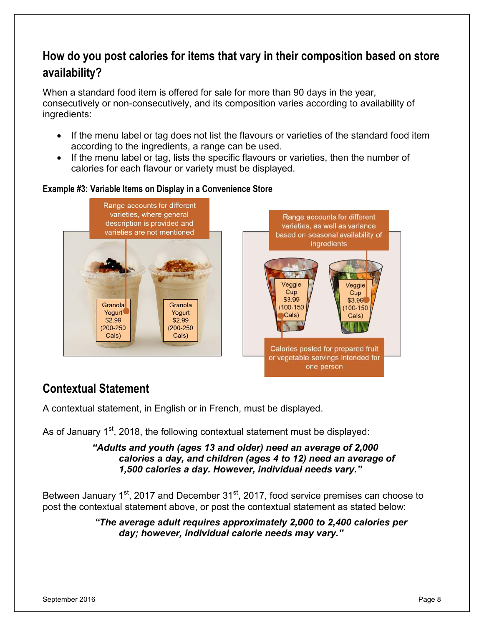# **How do you post calories for items that vary in their composition based on store availability?**

When a standard food item is offered for sale for more than 90 days in the year, consecutively or non-consecutively, and its composition varies according to availability of ingredients:

- If the menu label or tag does not list the flavours or varieties of the standard food item according to the ingredients, a range can be used.
- If the menu label or tag, lists the specific flavours or varieties, then the number of calories for each flavour or variety must be displayed.

#### **Example #3: Variable Items on Display in a Convenience Store**



# **Contextual Statement**

A contextual statement, in English or in French, must be displayed.

As of January  $1<sup>st</sup>$ , 2018, the following contextual statement must be displayed:

#### *"Adults and youth (ages 13 and older) need an average of 2,000 calories a day, and children (ages 4 to 12) need an average of 1,500 calories a day. However, individual needs vary."*

Between January  $1<sup>st</sup>$ , 2017 and December 31 $<sup>st</sup>$ , 2017, food service premises can choose to</sup> post the contextual statement above, or post the contextual statement as stated below:

> *"The average adult requires approximately 2,000 to 2,400 calories per day; however, individual calorie needs may vary."*